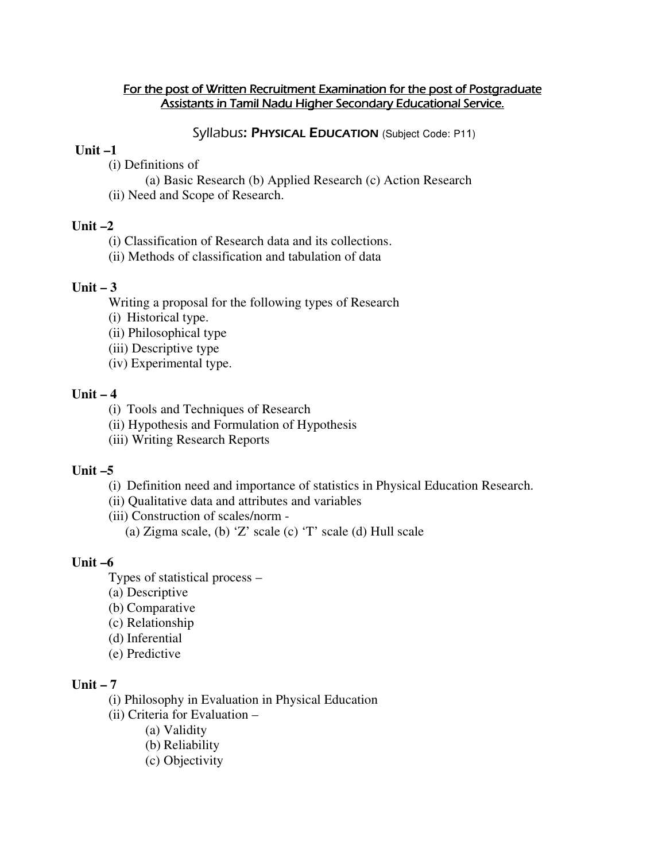### For the post of Written Recruitment Examination for the post of Postgraduate Assistants in Tamil Nadu Higher Secondary Educational Service.

Syllabus: PHYSICAL EDUCATION (Subject Code: P11)

### **Unit –1**

(i) Definitions of

(a) Basic Research (b) Applied Research (c) Action Research (ii) Need and Scope of Research.

### **Unit –2**

(i) Classification of Research data and its collections.

(ii) Methods of classification and tabulation of data

# **Unit – 3**

Writing a proposal for the following types of Research

(i) Historical type.

(ii) Philosophical type

(iii) Descriptive type

(iv) Experimental type.

## **Unit – 4**

(i) Tools and Techniques of Research

(ii) Hypothesis and Formulation of Hypothesis

(iii) Writing Research Reports

### **Unit –5**

(i) Definition need and importance of statistics in Physical Education Research.

(ii) Qualitative data and attributes and variables

(iii) Construction of scales/norm -

(a) Zigma scale, (b) 'Z' scale (c) 'T' scale (d) Hull scale

## **Unit –6**

Types of statistical process –

- (a) Descriptive
- (b) Comparative
- (c) Relationship
- (d) Inferential
- (e) Predictive

## **Unit – 7**

(i) Philosophy in Evaluation in Physical Education

(ii) Criteria for Evaluation –

(a) Validity

(b) Reliability

(c) Objectivity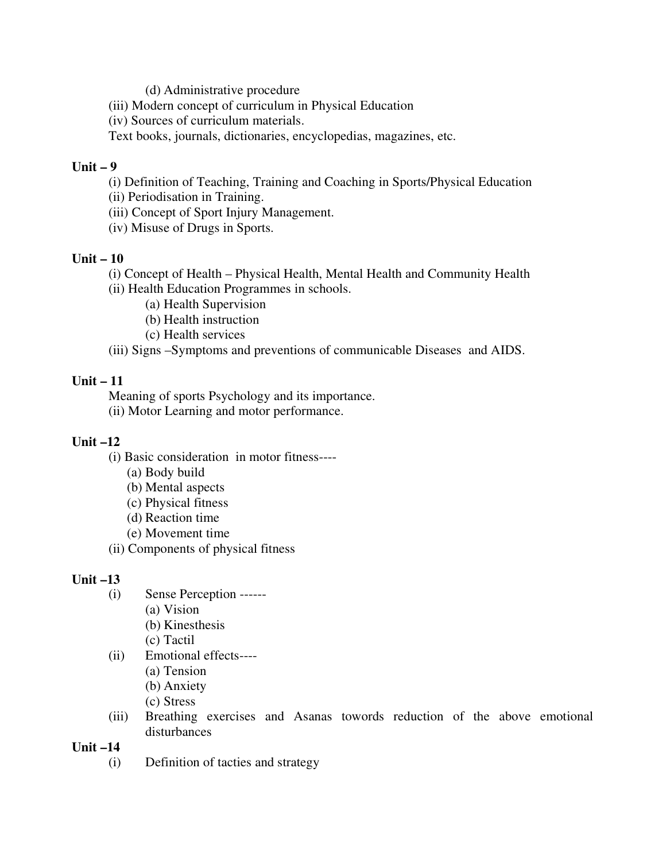(d) Administrative procedure

(iii) Modern concept of curriculum in Physical Education

(iv) Sources of curriculum materials.

Text books, journals, dictionaries, encyclopedias, magazines, etc.

## **Unit – 9**

(i) Definition of Teaching, Training and Coaching in Sports/Physical Education

(ii) Periodisation in Training.

(iii) Concept of Sport Injury Management.

(iv) Misuse of Drugs in Sports.

# **Unit – 10**

 (i) Concept of Health – Physical Health, Mental Health and Community Health (ii) Health Education Programmes in schools.

- (a) Health Supervision
- (b) Health instruction
- (c) Health services

(iii) Signs –Symptoms and preventions of communicable Diseases and AIDS.

# **Unit – 11**

 Meaning of sports Psychology and its importance. (ii) Motor Learning and motor performance.

# **Unit –12**

- (i) Basic consideration in motor fitness----
	- (a) Body build
	- (b) Mental aspects
	- (c) Physical fitness
	- (d) Reaction time
	- (e) Movement time
- (ii) Components of physical fitness

# **Unit –13**

- (i) Sense Perception ------
	- (a) Vision
	- (b) Kinesthesis
	- (c) Tactil
- (ii) Emotional effects----
	- (a) Tension
	- (b) Anxiety
	- (c) Stress
- (iii) Breathing exercises and Asanas towords reduction of the above emotional disturbances

**Unit –14** 

(i) Definition of tacties and strategy